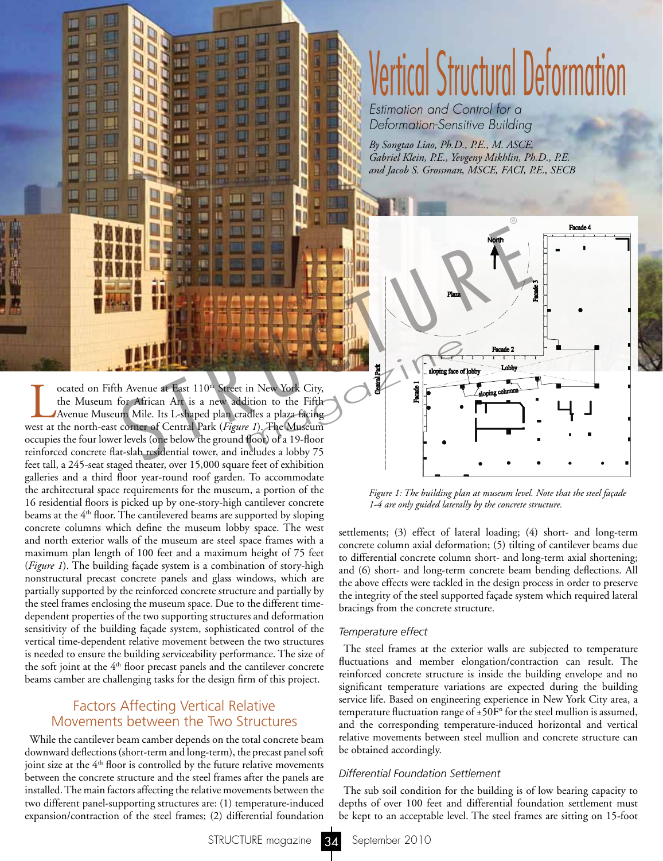

Cocated on Fifth Avenue at East 110<sup>th</sup> Street in New York City,<br>the Museum for African Art is a new addition to the Fifth<br>Avenue Museum Mile. Its L-shaped plan cradles a plaza facing<br>vest at the north-east corner of Centr the Museum for African Art is a new addition to the Fifth Avenue Museum Mile. Its L-shaped plan cradles a plaza facing west at the north-east corner of Central Park (*Figure 1*). The Museum occupies the four lower levels (one below the ground floor) of a 19-floor reinforced concrete flat-slab residential tower, and includes a lobby 75 feet tall, a 245-seat staged theater, over 15,000 square feet of exhibition galleries and a third floor year-round roof garden. To accommodate the architectural space requirements for the museum, a portion of the 16 residential floors is picked up by one-story-high cantilever concrete beams at the 4<sup>th</sup> floor. The cantilevered beams are supported by sloping concrete columns which define the museum lobby space. The west and north exterior walls of the museum are steel space frames with a maximum plan length of 100 feet and a maximum height of 75 feet (*Figure 1*). The building façade system is a combination of story-high nonstructural precast concrete panels and glass windows, which are partially supported by the reinforced concrete structure and partially by the steel frames enclosing the museum space. Due to the different timedependent properties of the two supporting structures and deformation sensitivity of the building façade system, sophisticated control of the vertical time-dependent relative movement between the two structures is needed to ensure the building serviceability performance. The size of the soft joint at the 4<sup>th</sup> floor precast panels and the cantilever concrete beams camber are challenging tasks for the design firm of this project.

# Factors Affecting Vertical Relative Movements between the Two Structures

While the cantilever beam camber depends on the total concrete beam downward deflections (short-term and long-term), the precast panel soft joint size at the  $4<sup>th</sup>$  floor is controlled by the future relative movements between the concrete structure and the steel frames after the panels are installed. The main factors affecting the relative movements between the two different panel-supporting structures are: (1) temperature-induced expansion/contraction of the steel frames; (2) differential foundation

# Vertical Structural Deformation

*Estimation and Control for a Deformation-Sensitive Building*

*By Songtao Liao, Ph.D., P.E., M. ASCE, Gabriel Klein, P.E., Yevgeny Mikhlin, Ph.D., P.E. and Jacob S. Grossman, MSCE, FACI, P.E., SECB*



*Figure 1: The building plan at museum level. Note that the steel façade 1-4 are only guided laterally by the concrete structure.*

settlements; (3) effect of lateral loading; (4) short- and long-term concrete column axial deformation; (5) tilting of cantilever beams due to differential concrete column short- and long-term axial shortening; and (6) short- and long-term concrete beam bending deflections. All the above effects were tackled in the design process in order to preserve the integrity of the steel supported façade system which required lateral bracings from the concrete structure.

# *Temperature effect*

The steel frames at the exterior walls are subjected to temperature fluctuations and member elongation/contraction can result. The reinforced concrete structure is inside the building envelope and no significant temperature variations are expected during the building service life. Based on engineering experience in New York City area, a temperature fluctuation range of ±50F° for the steel mullion is assumed, and the corresponding temperature-induced horizontal and vertical relative movements between steel mullion and concrete structure can be obtained accordingly.

# *Differential Foundation Settlement*

The sub soil condition for the building is of low bearing capacity to depths of over 100 feet and differential foundation settlement must be kept to an acceptable level. The steel frames are sitting on 15-foot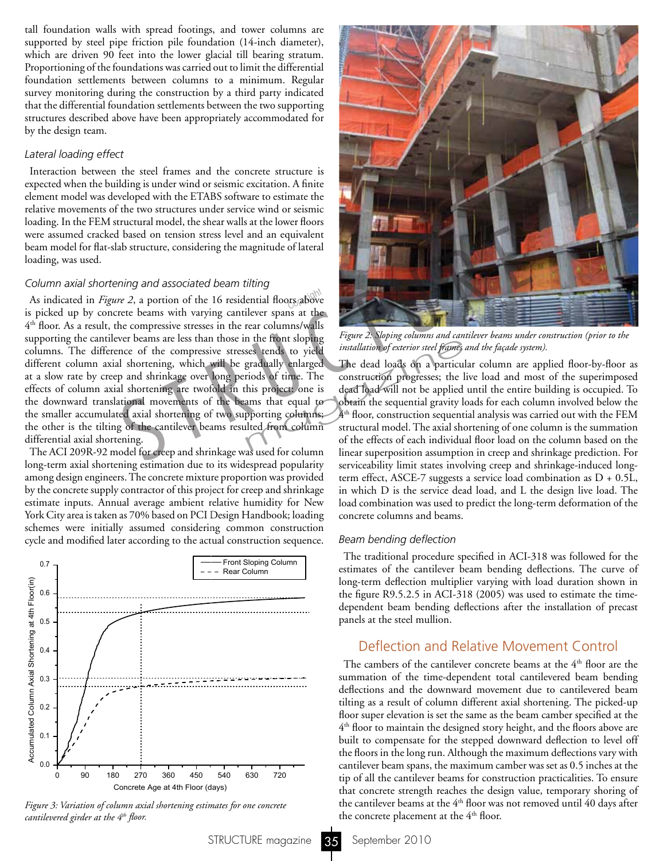tall foundation walls with spread footings, and tower columns are supported by steel pipe friction pile foundation (14-inch diameter), which are driven 90 feet into the lower glacial till bearing stratum. Proportioning of the foundations was carried out to limit the differential foundation settlements between columns to a minimum. Regular survey monitoring during the construction by a third party indicated that the differential foundation settlements between the two supporting structures described above have been appropriately accommodated for by the design team.

### *Lateral loading effect*

Interaction between the steel frames and the concrete structure is expected when the building is under wind or seismic excitation. A finite element model was developed with the ETABS software to estimate the relative movements of the two structures under service wind or seismic loading. In the FEM structural model, the shear walls at the lower floors were assumed cracked based on tension stress level and an equivalent beam model for flat-slab structure, considering the magnitude of lateral loading, was used.

### *Column axial shortening and associated beam tilting*

As indicated in *Figure 2*, a portion of the 16 residential floors above is picked up by concrete beams with varying cantilever spans at the 4th floor. As a result, the compressive stresses in the rear columns/walls supporting the cantilever beams are less than those in the front sloping columns. The difference of the compressive stresses tends to yield different column axial shortening, which will be gradually enlarged at a slow rate by creep and shrinkage over long periods of time. The effects of column axial shortening are twofold in this project: one is the downward translational movements of the beams that equal to the smaller accumulated axial shortening of two supporting columns; the other is the tilting of the cantilever beams resulted from column differential axial shortening. tructural model, the shear walls at the lower floors<br>
based on tension stress level and an equivalent<br>
ab structure, considering the magnitude of lateral<br>
princy and associated beam tilting<br>
ming and associated beam tiltin

The ACI 209R-92 model for creep and shrinkage was used for column long-term axial shortening estimation due to its widespread popularity among design engineers. The concrete mixture proportion was provided by the concrete supply contractor of this project for creep and shrinkage estimate inputs. Annual average ambient relative humidity for New York City area is taken as 70% based on PCI Design Handbook; loading schemes were initially assumed considering common construction cycle and modified later according to the actual construction sequence.



*Figure 3: Variation of column axial shortening estimates for one concrete cantilevered girder at the 4th floor.*



*Figure 2: Sloping columns and cantilever beams under construction (prior to the installation of exterior steel frames and the façade system).*

The dead loads on a particular column are applied floor-by-floor as construction progresses; the live load and most of the superimposed dead load will not be applied until the entire building is occupied. To obtain the sequential gravity loads for each column involved below the  $4<sup>th</sup>$  floor, construction sequential analysis was carried out with the FEM structural model. The axial shortening of one column is the summation of the effects of each individual floor load on the column based on the linear superposition assumption in creep and shrinkage prediction. For serviceability limit states involving creep and shrinkage-induced longterm effect, ASCE-7 suggests a service load combination as D + 0.5L, in which D is the service dead load, and L the design live load. The load combination was used to predict the long-term deformation of the concrete columns and beams. methods by installation of exterior steel frames<br>gradually enlarged<br>gradually enlarged<br>The dead loads on a particul<br>riods of time. The construction progresses; the l<br>his project: one is dead load will not be applied<br>ams th

### *Beam bending deflection*

The traditional procedure specified in ACI-318 was followed for the estimates of the cantilever beam bending deflections. The curve of long-term deflection multiplier varying with load duration shown in the figure R9.5.2.5 in ACI-318 (2005) was used to estimate the timedependent beam bending deflections after the installation of precast panels at the steel mullion.

# Deflection and Relative Movement Control

The cambers of the cantilever concrete beams at the  $4<sup>th</sup>$  floor are the summation of the time-dependent total cantilevered beam bending deflections and the downward movement due to cantilevered beam tilting as a result of column different axial shortening. The picked-up floor super elevation is set the same as the beam camber specified at the 4<sup>th</sup> floor to maintain the designed story height, and the floors above are built to compensate for the stepped downward deflection to level off the floors in the long run. Although the maximum deflections vary with cantilever beam spans, the maximum camber was set as 0.5 inches at the tip of all the cantilever beams for construction practicalities. To ensure that concrete strength reaches the design value, temporary shoring of the cantilever beams at the  $4<sup>th</sup>$  floor was not removed until 40 days after the concrete placement at the 4<sup>th</sup> floor.